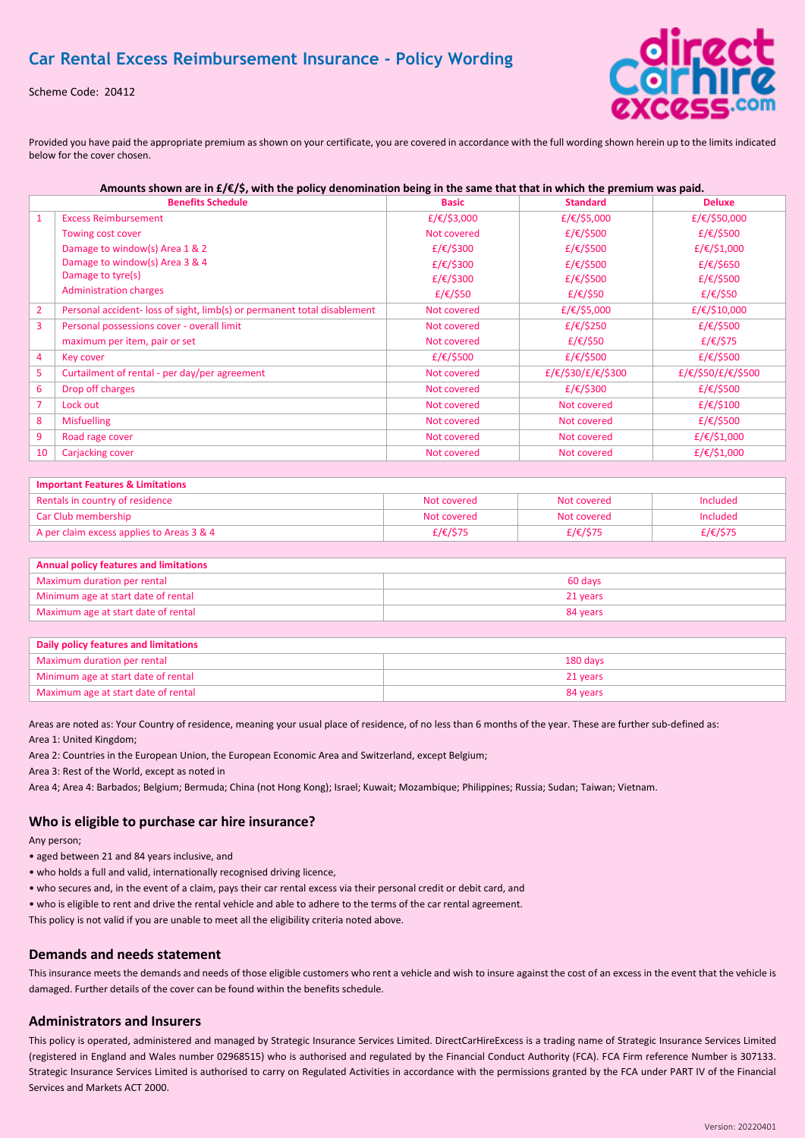Scheme Code: 20412



Provided you have paid the appropriate premium as shown on your certificate, you are covered in accordance with the full wording shown herein up to the limits indicated below for the cover chosen.

| Amounts shown are in $f(\xi)$ , with the policy denomination being in the same that that in which the premium was paid. |                                                                          |              |                    |                    |
|-------------------------------------------------------------------------------------------------------------------------|--------------------------------------------------------------------------|--------------|--------------------|--------------------|
|                                                                                                                         | <b>Benefits Schedule</b>                                                 | <b>Basic</b> | <b>Standard</b>    | <b>Deluxe</b>      |
| $\mathbf{1}$                                                                                                            | <b>Excess Reimbursement</b>                                              | £/€/\$3,000  | £/€/\$5,000        | £/€/\$50,000       |
|                                                                                                                         | Towing cost cover                                                        | Not covered  | £/€/\$500          | £/€/\$500          |
|                                                                                                                         | Damage to window(s) Area 1 & 2                                           | £/€/\$300    | £/€/\$500          | £/€/\$1,000        |
|                                                                                                                         | Damage to window(s) Area 3 & 4                                           | £/€/\$300    | £/€/\$500          | £/€/\$650          |
|                                                                                                                         | Damage to tyre(s)                                                        | £/€/\$300    | £/€/\$500          | £/€/\$500          |
|                                                                                                                         | <b>Administration charges</b>                                            | £/€/\$50     | £/€/\$50           | £/€/\$50           |
| $\overline{2}$                                                                                                          | Personal accident- loss of sight, limb(s) or permanent total disablement | Not covered  | £/€/\$5,000        | £/€/\$10,000       |
| 3                                                                                                                       | Personal possessions cover - overall limit                               | Not covered  | £/€/\$250          | £/€/\$500          |
|                                                                                                                         | maximum per item, pair or set                                            | Not covered  | £/€/\$50           | £/€/\$75           |
| 4                                                                                                                       | Key cover                                                                | £/€/\$500    | £/€/\$500          | £/€/\$500          |
| 5                                                                                                                       | Curtailment of rental - per day/per agreement                            | Not covered  | £/€/\$30/£/€/\$300 | £/€/\$50/£/€/\$500 |
| 6                                                                                                                       | Drop off charges                                                         | Not covered  | £/€/\$300          | £/€/\$500          |
| $\overline{7}$                                                                                                          | Lock out                                                                 | Not covered  | Not covered        | £/€/\$100          |
| 8                                                                                                                       | <b>Misfuelling</b>                                                       | Not covered  | Not covered        | £/€/\$500          |
| 9                                                                                                                       | Road rage cover                                                          | Not covered  | Not covered        | £/€/\$1,000        |
| 10                                                                                                                      | Carjacking cover                                                         | Not covered  | Not covered        | £/€/\$1,000        |
|                                                                                                                         |                                                                          |              |                    |                    |

| Important Features & Limitations          |             |             |          |  |
|-------------------------------------------|-------------|-------------|----------|--|
| Rentals in country of residence           | Not covered | Not covered | Included |  |
| Car Club membership                       | Not covered | Not covered | Included |  |
| A per claim excess applies to Areas 3 & 4 | £/€/\$75    | £/€/\$75    | £/€/\$75 |  |

#### **Annual policy features and limitations**

| Maximum duration per rental         | 60 days  |  |
|-------------------------------------|----------|--|
| Minimum age at start date of rental | 21 years |  |
| Maximum age at start date of rental | 84 years |  |

| <b>Daily policy features and limitations</b> |          |  |
|----------------------------------------------|----------|--|
| Maximum duration per rental                  | 180 days |  |
| Minimum age at start date of rental          | 21 years |  |
| Maximum age at start date of rental          | 84 years |  |

Areas are noted as: Your Country of residence, meaning your usual place of residence, of no less than 6 months of the year. These are further sub-defined as: Area 1: United Kingdom;

Area 2: Countries in the European Union, the European Economic Area and Switzerland, except Belgium;

Area 3: Rest of the World, except as noted in

Area 4; Area 4: Barbados; Belgium; Bermuda; China (not Hong Kong); Israel; Kuwait; Mozambique; Philippines; Russia; Sudan; Taiwan; Vietnam.

## **Who is eligible to purchase car hire insurance?**

Any person;

- aged between 21 and 84 years inclusive, and
- who holds a full and valid, internationally recognised driving licence,
- who secures and, in the event of a claim, pays their car rental excess via their personal credit or debit card, and
- who is eligible to rent and drive the rental vehicle and able to adhere to the terms of the car rental agreement.

This policy is not valid if you are unable to meet all the eligibility criteria noted above.

# **Demands and needs statement**

This insurance meets the demands and needs of those eligible customers who rent a vehicle and wish to insure against the cost of an excess in the event that the vehicle is damaged. Further details of the cover can be found within the benefits schedule.

## **Administrators and Insurers**

This policy is operated, administered and managed by Strategic Insurance Services Limited. DirectCarHireExcess is a trading name of Strategic Insurance Services Limited (registered in England and Wales number 02968515) who is authorised and regulated by the Financial Conduct Authority (FCA). FCA Firm reference Number is 307133. Strategic Insurance Services Limited is authorised to carry on Regulated Activities in accordance with the permissions granted by the FCA under PART IV of the Financial Services and Markets ACT 2000.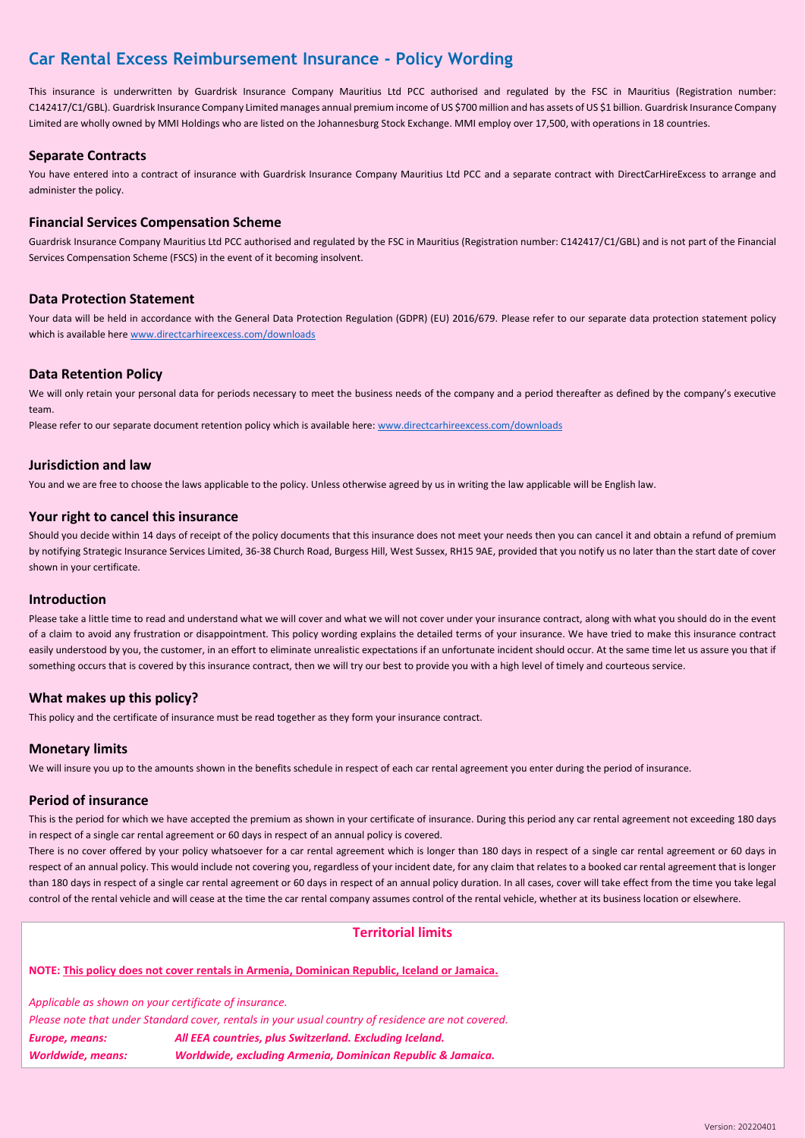This insurance is underwritten by Guardrisk Insurance Company Mauritius Ltd PCC authorised and regulated by the FSC in Mauritius (Registration number: C142417/C1/GBL). Guardrisk Insurance Company Limited manages annual premium income of US \$700 million and has assets of US \$1 billion. Guardrisk Insurance Company Limited are wholly owned by MMI Holdings who are listed on the Johannesburg Stock Exchange. MMI employ over 17,500, with operations in 18 countries.

# **Separate Contracts**

You have entered into a contract of insurance with Guardrisk Insurance Company Mauritius Ltd PCC and a separate contract with DirectCarHireExcess to arrange and administer the policy.

# **Financial Services Compensation Scheme**

Guardrisk Insurance Company Mauritius Ltd PCC authorised and regulated by the FSC in Mauritius (Registration number: C142417/C1/GBL) and is not part of the Financial Services Compensation Scheme (FSCS) in the event of it becoming insolvent.

## **Data Protection Statement**

Your data will be held in accordance with the General Data Protection Regulation (GDPR) (EU) 2016/679. Please refer to our separate data protection statement policy which is available here [www.directcarhireexcess.com/downloads](http://www.directcarhireexcess.com/downloads)

# **Data Retention Policy**

We will only retain your personal data for periods necessary to meet the business needs of the company and a period thereafter as defined by the company's executive team.

Please refer to our separate document retention policy which is available here: [www.directcarhireexcess.com/downloads](http://www.directcarhireexcess.com/downloads)

## **Jurisdiction and law**

You and we are free to choose the laws applicable to the policy. Unless otherwise agreed by us in writing the law applicable will be English law.

## **Your right to cancel this insurance**

Should you decide within 14 days of receipt of the policy documents that this insurance does not meet your needs then you can cancel it and obtain a refund of premium by notifying Strategic Insurance Services Limited, 36-38 Church Road, Burgess Hill, West Sussex, RH15 9AE, provided that you notify us no later than the start date of cover shown in your certificate.

## **Introduction**

Please take a little time to read and understand what we will cover and what we will not cover under your insurance contract, along with what you should do in the event of a claim to avoid any frustration or disappointment. This policy wording explains the detailed terms of your insurance. We have tried to make this insurance contract easily understood by you, the customer, in an effort to eliminate unrealistic expectations if an unfortunate incident should occur. At the same time let us assure you that if something occurs that is covered by this insurance contract, then we will try our best to provide you with a high level of timely and courteous service.

## **What makes up this policy?**

This policy and the certificate of insurance must be read together as they form your insurance contract.

## **Monetary limits**

We will insure you up to the amounts shown in the benefits schedule in respect of each car rental agreement you enter during the period of insurance.

## **Period of insurance**

This is the period for which we have accepted the premium as shown in your certificate of insurance. During this period any car rental agreement not exceeding 180 days in respect of a single car rental agreement or 60 days in respect of an annual policy is covered.

There is no cover offered by your policy whatsoever for a car rental agreement which is longer than 180 days in respect of a single car rental agreement or 60 days in respect of an annual policy. This would include not covering you, regardless of your incident date, for any claim that relates to a booked car rental agreement that is longer than 180 days in respect of a single car rental agreement or 60 days in respect of an annual policy duration. In all cases, cover will take effect from the time you take legal control of the rental vehicle and will cease at the time the car rental company assumes control of the rental vehicle, whether at its business location or elsewhere.

# **Territorial limits**

**NOTE: This policy does not cover rentals in Armenia, Dominican Republic, Iceland or Jamaica.**

*Applicable as shown on your certificate of insurance. Please note that under Standard cover, rentals in your usual country of residence are not covered. Europe, means: All EEA countries, plus Switzerland. Excluding Iceland. Worldwide, means: Worldwide, excluding Armenia, Dominican Republic & Jamaica.*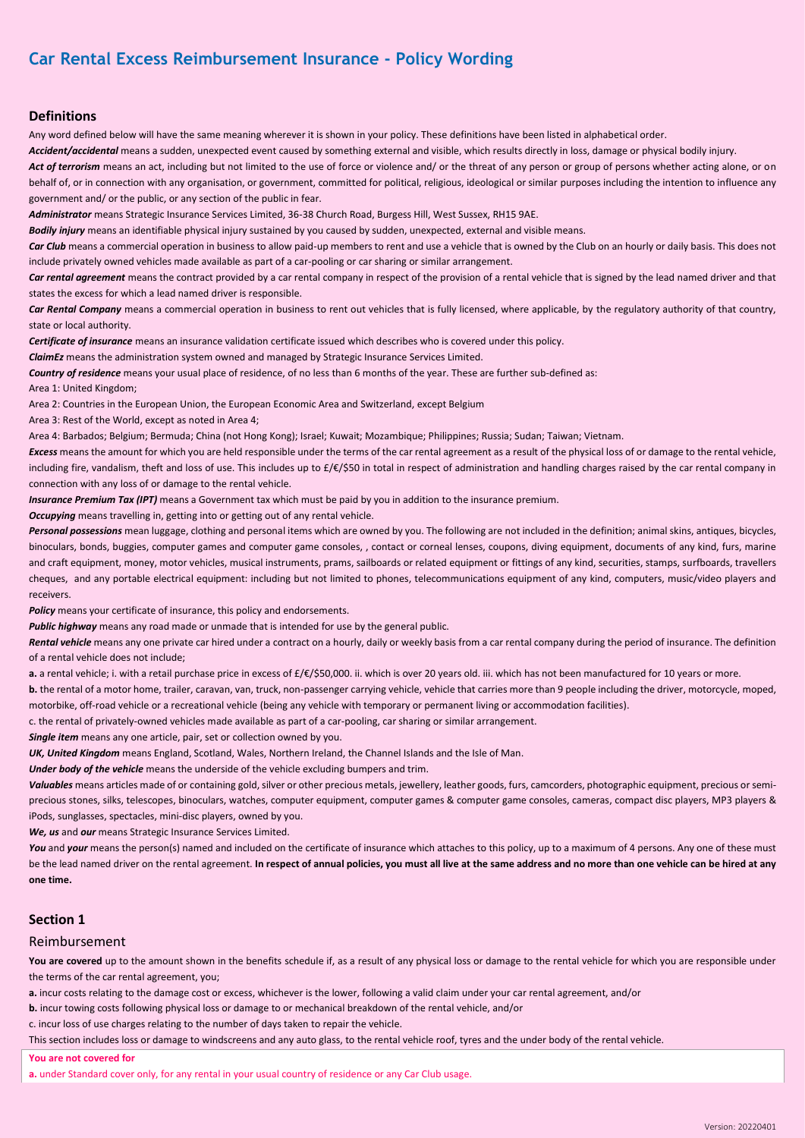## **Definitions**

Any word defined below will have the same meaning wherever it is shown in your policy. These definitions have been listed in alphabetical order.

*Accident/accidental* means a sudden, unexpected event caused by something external and visible, which results directly in loss, damage or physical bodily injury.

Act of terrorism means an act, including but not limited to the use of force or violence and/ or the threat of any person or group of persons whether acting alone, or on behalf of, or in connection with any organisation, or government, committed for political, religious, ideological or similar purposes including the intention to influence any government and/ or the public, or any section of the public in fear.

*Administrator* means Strategic Insurance Services Limited, 36-38 Church Road, Burgess Hill, West Sussex, RH15 9AE.

*Bodily injury* means an identifiable physical injury sustained by you caused by sudden, unexpected, external and visible means.

Car Club means a commercial operation in business to allow paid-up members to rent and use a vehicle that is owned by the Club on an hourly or daily basis. This does not include privately owned vehicles made available as part of a car-pooling or car sharing or similar arrangement.

Car rental agreement means the contract provided by a car rental company in respect of the provision of a rental vehicle that is signed by the lead named driver and that states the excess for which a lead named driver is responsible.

*Car Rental Company* means a commercial operation in business to rent out vehicles that is fully licensed, where applicable, by the regulatory authority of that country, state or local authority.

*Certificate of insurance* means an insurance validation certificate issued which describes who is covered under this policy.

*ClaimEz* means the administration system owned and managed by Strategic Insurance Services Limited.

*Country of residence* means your usual place of residence, of no less than 6 months of the year. These are further sub-defined as:

Area 1: United Kingdom;

Area 2: Countries in the European Union, the European Economic Area and Switzerland, except Belgium

Area 3: Rest of the World, except as noted in Area 4;

Area 4: Barbados; Belgium; Bermuda; China (not Hong Kong); Israel; Kuwait; Mozambique; Philippines; Russia; Sudan; Taiwan; Vietnam.

*Excess* means the amount for which you are held responsible under the terms of the car rental agreement as a result of the physical loss of or damage to the rental vehicle, including fire, vandalism, theft and loss of use. This includes up to £/€/\$50 in total in respect of administration and handling charges raised by the car rental company in connection with any loss of or damage to the rental vehicle.

*Insurance Premium Tax (IPT)* means a Government tax which must be paid by you in addition to the insurance premium.

*Occupying* means travelling in, getting into or getting out of any rental vehicle.

*Personal possessions* mean luggage, clothing and personal items which are owned by you. The following are not included in the definition; animal skins, antiques, bicycles, binoculars, bonds, buggies, computer games and computer game consoles, , contact or corneal lenses, coupons, diving equipment, documents of any kind, furs, marine and craft equipment, money, motor vehicles, musical instruments, prams, sailboards or related equipment or fittings of any kind, securities, stamps, surfboards, travellers cheques, and any portable electrical equipment: including but not limited to phones, telecommunications equipment of any kind, computers, music/video players and receivers.

**Policy** means your certificate of insurance, this policy and endorsements.

**Public highway** means any road made or unmade that is intended for use by the general public.

Rental vehicle means any one private car hired under a contract on a hourly, daily or weekly basis from a car rental company during the period of insurance. The definition of a rental vehicle does not include;

**a.** a rental vehicle; i. with a retail purchase price in excess of £/€/\$50,000. ii. which is over 20 years old. iii. which has not been manufactured for 10 years or more.

**b.** the rental of a motor home, trailer, caravan, van, truck, non-passenger carrying vehicle, vehicle that carries more than 9 people including the driver, motorcycle, moped, motorbike, off-road vehicle or a recreational vehicle (being any vehicle with temporary or permanent living or accommodation facilities).

c. the rental of privately-owned vehicles made available as part of a car-pooling, car sharing or similar arrangement.

*Single item* means any one article, pair, set or collection owned by you.

*UK, United Kingdom* means England, Scotland, Wales, Northern Ireland, the Channel Islands and the Isle of Man.

*Under body of the vehicle* means the underside of the vehicle excluding bumpers and trim.

*Valuables* means articles made of or containing gold, silver or other precious metals, jewellery, leather goods, furs, camcorders, photographic equipment, precious or semiprecious stones, silks, telescopes, binoculars, watches, computer equipment, computer games & computer game consoles, cameras, compact disc players, MP3 players & iPods, sunglasses, spectacles, mini-disc players, owned by you.

*We, us* and *our* means Strategic Insurance Services Limited.

You and your means the person(s) named and included on the certificate of insurance which attaches to this policy, up to a maximum of 4 persons. Any one of these must be the lead named driver on the rental agreement. **In respect of annual policies, you must all live at the same address and no more than one vehicle can be hired at any one time.**

## **Section 1**

### Reimbursement

You are covered up to the amount shown in the benefits schedule if, as a result of any physical loss or damage to the rental vehicle for which you are responsible under the terms of the car rental agreement, you;

**a.** incur costs relating to the damage cost or excess, whichever is the lower, following a valid claim under your car rental agreement, and/or

**b.** incur towing costs following physical loss or damage to or mechanical breakdown of the rental vehicle, and/or

c. incur loss of use charges relating to the number of days taken to repair the vehicle.

This section includes loss or damage to windscreens and any auto glass, to the rental vehicle roof, tyres and the under body of the rental vehicle.

**You are not covered for**

**a.** under Standard cover only, for any rental in your usual country of residence or any Car Club usage.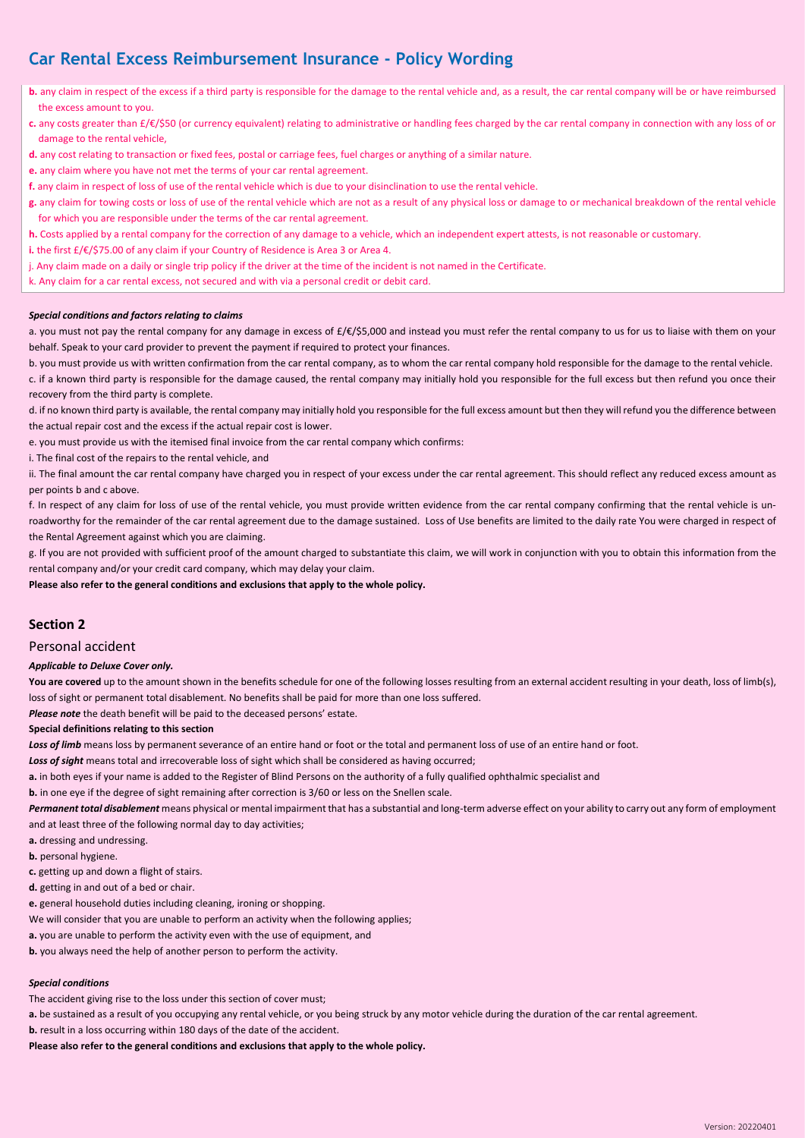**b.** any claim in respect of the excess if a third party is responsible for the damage to the rental vehicle and, as a result, the car rental company will be or have reimbursed the excess amount to you.

- **c.** any costs greater than £/€/\$50 (or currency equivalent) relating to administrative or handling fees charged by the car rental company in connection with any loss of or damage to the rental vehicle,
- **d.** any cost relating to transaction or fixed fees, postal or carriage fees, fuel charges or anything of a similar nature.
- **e.** any claim where you have not met the terms of your car rental agreement.
- **f.** any claim in respect of loss of use of the rental vehicle which is due to your disinclination to use the rental vehicle.
- **g.** any claim for towing costs or loss of use of the rental vehicle which are not as a result of any physical loss or damage to or mechanical breakdown of the rental vehicle for which you are responsible under the terms of the car rental agreement.
- **h.** Costs applied by a rental company for the correction of any damage to a vehicle, which an independent expert attests, is not reasonable or customary.
- **i.** the first £/€/\$75.00 of any claim if your Country of Residence is Area 3 or Area 4.
- j. Any claim made on a daily or single trip policy if the driver at the time of the incident is not named in the Certificate.
- k. Any claim for a car rental excess, not secured and with via a personal credit or debit card.

### *Special conditions and factors relating to claims*

a. you must not pay the rental company for any damage in excess of £/€/\$5,000 and instead you must refer the rental company to us for us to liaise with them on your behalf. Speak to your card provider to prevent the payment if required to protect your finances.

b. you must provide us with written confirmation from the car rental company, as to whom the car rental company hold responsible for the damage to the rental vehicle. c. if a known third party is responsible for the damage caused, the rental company may initially hold you responsible for the full excess but then refund you once their recovery from the third party is complete.

d. if no known third party is available, the rental company may initially hold you responsible for the full excess amount but then they will refund you the difference between the actual repair cost and the excess if the actual repair cost is lower.

e. you must provide us with the itemised final invoice from the car rental company which confirms:

i. The final cost of the repairs to the rental vehicle, and

ii. The final amount the car rental company have charged you in respect of your excess under the car rental agreement. This should reflect any reduced excess amount as per points b and c above.

f. In respect of any claim for loss of use of the rental vehicle, you must provide written evidence from the car rental company confirming that the rental vehicle is unroadworthy for the remainder of the car rental agreement due to the damage sustained. Loss of Use benefits are limited to the daily rate You were charged in respect of the Rental Agreement against which you are claiming.

g. If you are not provided with sufficient proof of the amount charged to substantiate this claim, we will work in conjunction with you to obtain this information from the rental company and/or your credit card company, which may delay your claim.

**Please also refer to the general conditions and exclusions that apply to the whole policy.**

## **Section 2**

## Personal accident

#### *Applicable to Deluxe Cover only.*

You are covered up to the amount shown in the benefits schedule for one of the following losses resulting from an external accident resulting in your death, loss of limb(s), loss of sight or permanent total disablement. No benefits shall be paid for more than one loss suffered.

*Please note* the death benefit will be paid to the deceased persons' estate.

## **Special definitions relating to this section**

Loss of limb means loss by permanent severance of an entire hand or foot or the total and permanent loss of use of an entire hand or foot.

Loss of sight means total and irrecoverable loss of sight which shall be considered as having occurred;

**a.** in both eyes if your name is added to the Register of Blind Persons on the authority of a fully qualified ophthalmic specialist and

**b.** in one eye if the degree of sight remaining after correction is 3/60 or less on the Snellen scale.

*Permanent total disablement* means physical or mental impairment that has a substantial and long-term adverse effect on your ability to carry out any form of employment and at least three of the following normal day to day activities;

- **a.** dressing and undressing.
- **b.** personal hygiene.
- **c.** getting up and down a flight of stairs.
- **d.** getting in and out of a bed or chair.
- **e.** general household duties including cleaning, ironing or shopping.
- We will consider that you are unable to perform an activity when the following applies;
- **a.** you are unable to perform the activity even with the use of equipment, and
- **b.** you always need the help of another person to perform the activity.

## *Special conditions*

The accident giving rise to the loss under this section of cover must;

**a.** be sustained as a result of you occupying any rental vehicle, or you being struck by any motor vehicle during the duration of the car rental agreement.

**b.** result in a loss occurring within 180 days of the date of the accident.

**Please also refer to the general conditions and exclusions that apply to the whole policy.**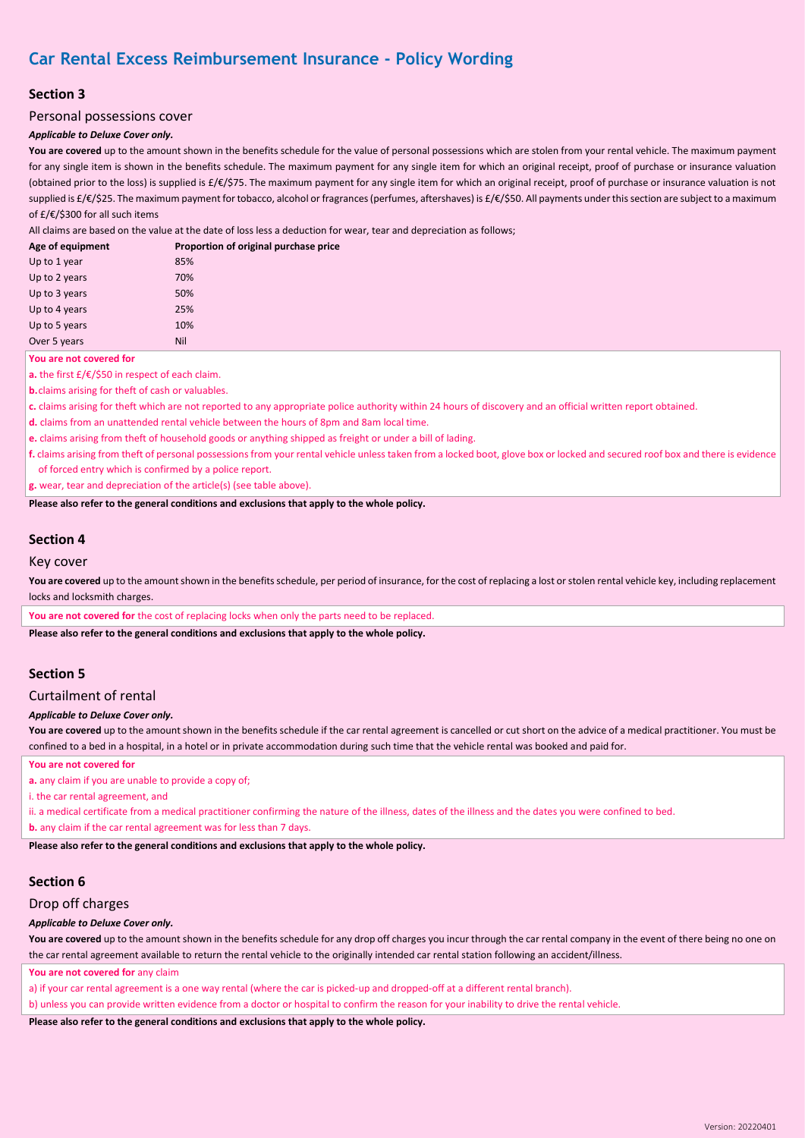# **Section 3**

## Personal possessions cover

## *Applicable to Deluxe Cover only.*

**You are covered** up to the amount shown in the benefits schedule for the value of personal possessions which are stolen from your rental vehicle. The maximum payment for any single item is shown in the benefits schedule. The maximum payment for any single item for which an original receipt, proof of purchase or insurance valuation (obtained prior to the loss) is supplied is £/€/\$75. The maximum payment for any single item for which an original receipt, proof of purchase or insurance valuation is not supplied is £/€/\$25. The maximum payment for tobacco, alcohol or fragrances (perfumes, aftershaves) is £/€/\$50. All payments under this section are subject to a maximum of £/€/\$300 for all such items

All claims are based on the value at the date of loss less a deduction for wear, tear and depreciation as follows;

| Age of equipment | Proportion of original purchase price |
|------------------|---------------------------------------|
| Up to 1 year     | 85%                                   |
| Up to 2 years    | 70%                                   |
| Up to 3 years    | 50%                                   |
| Up to 4 years    | 25%                                   |
| Up to 5 years    | 10%                                   |
| Over 5 years     | Nil                                   |

**You are not covered for**

**a.** the first £/€/\$50 in respect of each claim.

**b.**claims arising for theft of cash or valuables.

**c.** claims arising for theft which are not reported to any appropriate police authority within 24 hours of discovery and an official written report obtained.

- **d.** claims from an unattended rental vehicle between the hours of 8pm and 8am local time.
- **e.** claims arising from theft of household goods or anything shipped as freight or under a bill of lading.
- **f.** claims arising from theft of personal possessions from your rental vehicle unless taken from a locked boot, glove box or locked and secured roof box and there is evidence of forced entry which is confirmed by a police report.

**g.** wear, tear and depreciation of the article(s) (see table above).

**Please also refer to the general conditions and exclusions that apply to the whole policy.**

# **Section 4**

## Key cover

You are covered up to the amount shown in the benefits schedule, per period of insurance, for the cost of replacing a lost or stolen rental vehicle key, including replacement locks and locksmith charges.

You are not covered for the cost of replacing locks when only the parts need to be replaced.

**Please also refer to the general conditions and exclusions that apply to the whole policy.**

# **Section 5**

# Curtailment of rental

## *Applicable to Deluxe Cover only.*

You are covered up to the amount shown in the benefits schedule if the car rental agreement is cancelled or cut short on the advice of a medical practitioner. You must be confined to a bed in a hospital, in a hotel or in private accommodation during such time that the vehicle rental was booked and paid for.

**You are not covered for**

**a.** any claim if you are unable to provide a copy of:

i. the car rental agreement, and

ii. a medical certificate from a medical practitioner confirming the nature of the illness, dates of the illness and the dates you were confined to bed. **b.** any claim if the car rental agreement was for less than 7 days.

**Please also refer to the general conditions and exclusions that apply to the whole policy.**

# **Section 6**

## Drop off charges

#### *Applicable to Deluxe Cover only.*

You are covered up to the amount shown in the benefits schedule for any drop off charges you incur through the car rental company in the event of there being no one on the car rental agreement available to return the rental vehicle to the originally intended car rental station following an accident/illness.

You are not covered for any claim

a) if your car rental agreement is a one way rental (where the car is picked-up and dropped-off at a different rental branch).

b) unless you can provide written evidence from a doctor or hospital to confirm the reason for your inability to drive the rental vehicle.

**Please also refer to the general conditions and exclusions that apply to the whole policy.**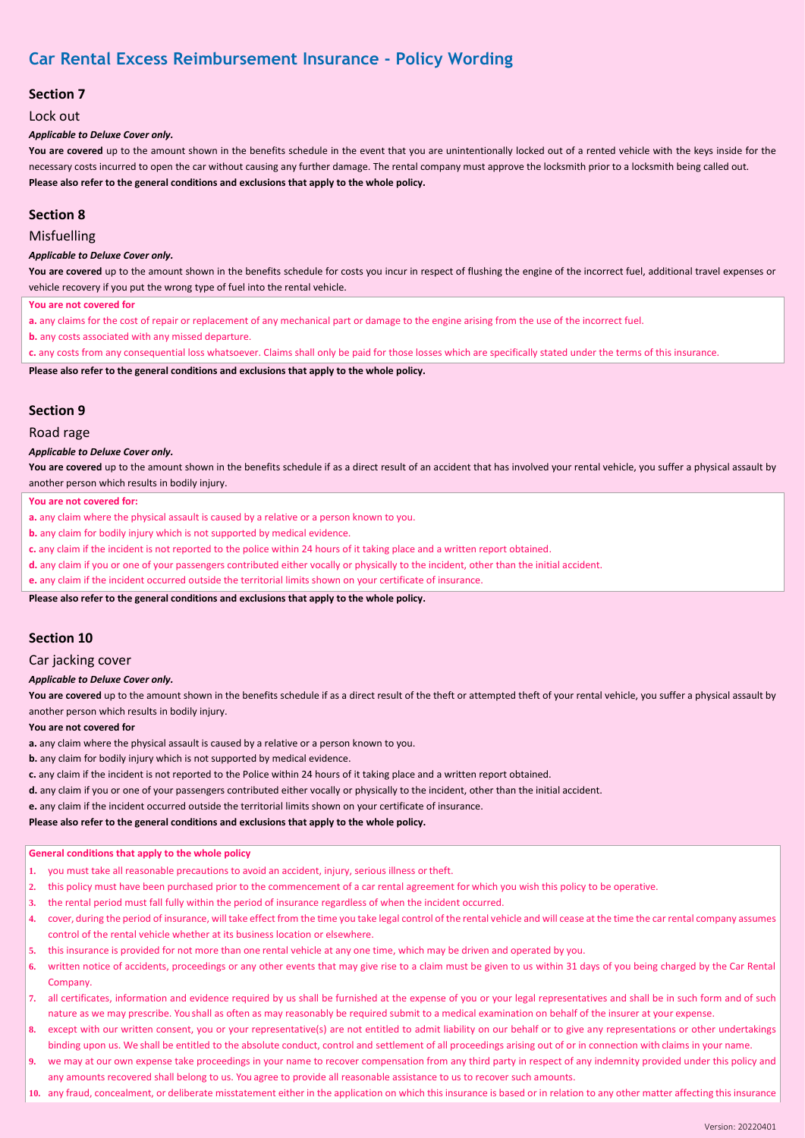# **Section 7**

Lock out

### *Applicable to Deluxe Cover only.*

You are covered up to the amount shown in the benefits schedule in the event that you are unintentionally locked out of a rented vehicle with the keys inside for the necessary costs incurred to open the car without causing any further damage. The rental company must approve the locksmith prior to a locksmith being called out. **Please also refer to the general conditions and exclusions that apply to the whole policy.**

# **Section 8**

## Misfuelling

#### *Applicable to Deluxe Cover only.*

You are covered up to the amount shown in the benefits schedule for costs you incur in respect of flushing the engine of the incorrect fuel, additional travel expenses or vehicle recovery if you put the wrong type of fuel into the rental vehicle.

**You are not covered for**

**a.** any claims for the cost of repair or replacement of any mechanical part or damage to the engine arising from the use of the incorrect fuel.

**b.** any costs associated with any missed departure.

**c.** any costs from any consequential loss whatsoever. Claims shall only be paid for those losses which are specifically stated under the terms of this insurance.

**Please also refer to the general conditions and exclusions that apply to the whole policy.**

# **Section 9**

### Road rage

### *Applicable to Deluxe Cover only.*

You are covered up to the amount shown in the benefits schedule if as a direct result of an accident that has involved your rental vehicle, you suffer a physical assault by another person which results in bodily injury.

#### **You are not covered for:**

**a.** any claim where the physical assault is caused by a relative or a person known to you.

**b.** any claim for bodily injury which is not supported by medical evidence.

**c.** any claim if the incident is not reported to the police within 24 hours of it taking place and a written report obtained.

**d.** any claim if you or one of your passengers contributed either vocally or physically to the incident, other than the initial accident.

**e.** any claim if the incident occurred outside the territorial limits shown on your certificate of insurance.

**Please also refer to the general conditions and exclusions that apply to the whole policy.**

# **Section 10**

#### Car jacking cover

#### *Applicable to Deluxe Cover only.*

You are covered up to the amount shown in the benefits schedule if as a direct result of the theft or attempted theft of your rental vehicle, you suffer a physical assault by another person which results in bodily injury.

### **You are not covered for**

**a.** any claim where the physical assault is caused by a relative or a person known to you.

**b.** any claim for bodily injury which is not supported by medical evidence.

- **c.** any claim if the incident is not reported to the Police within 24 hours of it taking place and a written report obtained.
- **d.** any claim if you or one of your passengers contributed either vocally or physically to the incident, other than the initial accident.

**e.** any claim if the incident occurred outside the territorial limits shown on your certificate of insurance.

### **Please also refer to the general conditions and exclusions that apply to the whole policy.**

### **General conditions that apply to the whole policy**

- **1.** you must take all reasonable precautions to avoid an accident, injury, serious illness ortheft.
- **2.** this policy must have been purchased prior to the commencement of a car rental agreement for which you wish this policy to be operative.
- **3.** the rental period must fall fully within the period of insurance regardless of when the incident occurred.
- **4.** cover, during the period of insurance, will take effect from the time you take legal control of the rental vehicle and will cease at the time the car rental company assumes control of the rental vehicle whether at its business location or elsewhere.
- **5.** this insurance is provided for not more than one rental vehicle at any one time, which may be driven and operated by you.
- **6.** written notice of accidents, proceedings or any other events that may give rise to a claim must be given to us within 31 days of you being charged by the Car Rental Company.
- **7.** all certificates, information and evidence required by us shall be furnished at the expense of you or your legal representatives and shall be in such form and of such nature as we may prescribe. You shall as often as may reasonably be required submit to a medical examination on behalf of the insurer at your expense.
- **8.** except with our written consent, you or your representative(s) are not entitled to admit liability on our behalf or to give any representations or other undertakings binding upon us. We shall be entitled to the absolute conduct, control and settlement of all proceedings arising out of or in connection with claims in your name.
- **9.** we may at our own expense take proceedings in your name to recover compensation from any third party in respect of any indemnity provided under this policy and any amounts recovered shall belong to us. You agree to provide all reasonable assistance to us to recover such amounts.
- **10.** any fraud, concealment, or deliberate misstatement either in the application on which this insurance is based or in relation to any other matter affecting this insurance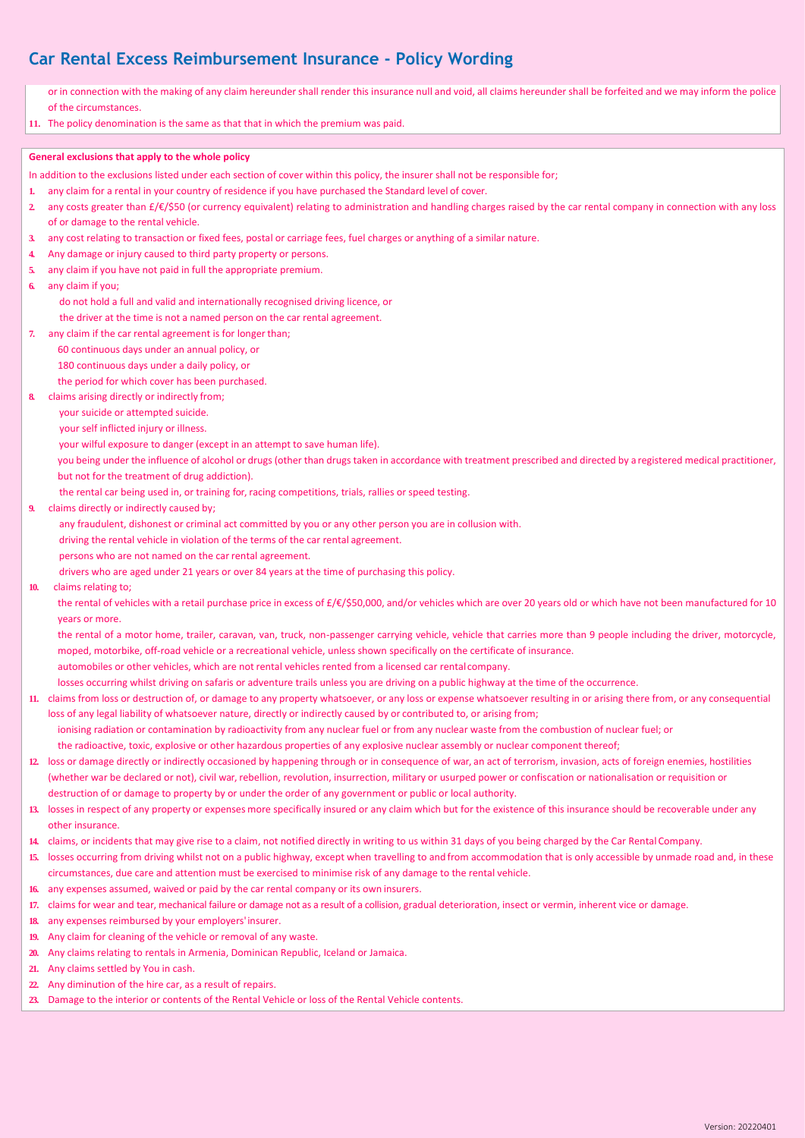or in connection with the making of any claim hereunder shall render this insurance null and void, all claims hereunder shall be forfeited and we may inform the police of the circumstances.

**11.** The policy denomination is the same as that that in which the premium was paid.

## **General exclusions that apply to the whole policy**

- In addition to the exclusions listed under each section of cover within this policy, the insurer shall not be responsible for;
- **1.** any claim for a rental in your country of residence if you have purchased the Standard level of cover.
- **2.** any costs greater than £/€/\$50 (or currency equivalent) relating to administration and handling charges raised by the car rental company in connection with any loss of or damage to the rental vehicle.
- **3.** any cost relating to transaction or fixed fees, postal or carriage fees, fuel charges or anything of a similar nature.
- **4.** Any damage or injury caused to third party property or persons.
- **5.** any claim if you have not paid in full the appropriate premium.
- **6.** any claim if you;
	- *a.* do not hold a full and valid and internationally recognised driving licence, or
	- *b.* the driver at the time is not a named person on the car rental agreement.
- **7.** any claim if the car rental agreement is for longer than;
	- *a.* 60 continuous days under an annual policy, or
	- 180 continuous days under a daily policy, or

the period for which cover has been purchased.

- **8.** claims arising directly or indirectly from;
	- *a.* your suicide or attempted suicide.
	- your self inflicted injury or illness.
	- your wilful exposure to danger (except in an attempt to save human life).
	- *d.* you being under the influence of alcohol or drugs (other than drugs taken in accordance with treatment prescribed and directed by a registered medical practitioner, but not for the treatment of drug addiction).
	- the rental car being used in, or training for, racing competitions, trials, rallies or speed testing.
- **9.** claims directly or indirectly caused by;
	- any fraudulent, dishonest or criminal act committed by you or any other person you are in collusion with.
	- *b.* driving the rental vehicle in violation of the terms of the car rental agreement.
	- persons who are not named on the car rental agreement.
	- drivers who are aged under 21 years or over 84 years at the time of purchasing this policy.
- **10.** claims relating to;

the rental of vehicles with a retail purchase price in excess of £/€/\$50,000, and/or vehicles which are over 20 years old or which have not been manufactured for 10 years or more.

*b.* the rental of a motor home, trailer, caravan, van, truck, non-passenger carrying vehicle, vehicle that carries more than 9 people including the driver, motorcycle, moped, motorbike, off-road vehicle or a recreational vehicle, unless shown specifically on the certificate of insurance. automobiles or other vehicles, which are not rental vehicles rented from a licensed car rental company.

- losses occurring whilst driving on safaris or adventure trails unless you are driving on a public highway at the time of the occurrence.
- **11.** claims from loss or destruction of, or damage to any property whatsoever, or any loss or expense whatsoever resulting in or arising there from, or any consequential loss of any legal liability of whatsoever nature, directly or indirectly caused by or contributed to, or arising from;
- ionising radiation or contamination by radioactivity from any nuclear fuel or from any nuclear waste from the combustion of nuclear fuel; or *b.* the radioactive, toxic, explosive or other hazardous properties of any explosive nuclear assembly or nuclear component thereof;
- **12.** loss or damage directly or indirectly occasioned by happening through or in consequence of war, an act of terrorism, invasion, acts of foreign enemies, hostilities (whether war be declared or not), civil war, rebellion, revolution, insurrection, military or usurped power or confiscation or nationalisation or requisition or destruction of or damage to property by or under the order of any government or public or local authority.
- **13.** losses in respect of any property or expenses more specifically insured or any claim which but for the existence of this insurance should be recoverable under any other insurance.
- **14.** claims, or incidents that may give rise to a claim, not notified directly in writing to us within 31 days of you being charged by the Car Rental Company.
- **15.** losses occurring from driving whilst not on a public highway, except when travelling to and from accommodation that is only accessible by unmade road and, in these circumstances, due care and attention must be exercised to minimise risk of any damage to the rental vehicle.
- **16.** any expenses assumed, waived or paid by the car rental company or its own insurers.
- **17.** claims for wear and tear, mechanical failure or damage not as a result of a collision, gradual deterioration, insect or vermin, inherent vice or damage.
- **18.** any expenses reimbursed by your employers'insurer.
- **19.** Any claim for cleaning of the vehicle or removal of any waste.
- **20.** Any claims relating to rentals in Armenia, Dominican Republic, Iceland or Jamaica.
- **21.** Any claims settled by You in cash.
- **22.** Any diminution of the hire car, as a result of repairs.
- **23.** Damage to the interior or contents of the Rental Vehicle or loss of the Rental Vehicle contents.